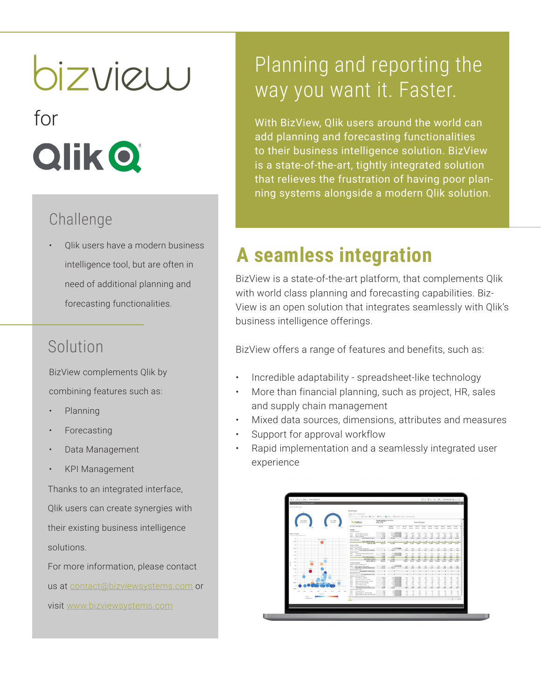# bizview

for **Qlik Q** 

#### Challenge

• Qlik users have a modern business intelligence tool, but are often in need of additional planning and forecasting functionalities.

## Solution

BizView complements Qlik by combining features such as:

- Planning
- **Forecasting**
- Data Management
- KPI Management

Thanks to an integrated interface, Qlik users can create synergies with their existing business intelligence solutions.

For more information, please contact us at contact@bizviewsystems.com or visit www.bizviewsystems.com

# Planning and reporting the way you want it. Faster.

With BizView, Qlik users around the world can add planning and forecasting functionalities to their business intelligence solution. BizView is a state-of-the-art, tightly integrated solution that relieves the frustration of having poor planning systems alongside a modern Qlik solution.

# **A seamless integration**

BizView is a state-of-the-art platform, that complements Qlik with world class planning and forecasting capabilities. Biz-View is an open solution that integrates seamlessly with Qlik's business intelligence offerings.

BizView offers a range of features and benefits, such as:

- Incredible adaptability spreadsheet-like technology
- More than financial planning, such as project, HR, sales and supply chain management
- Mixed data sources, dimensions, attributes and measures
- Support for approval workflow
- Rapid implementation and a seamlessly integrated user experience

|                                                                   |                                                                                        | Hane View DoorShoot                                                        |                                |                                            |                     |                                           |                  |                       |                          |                                                           |                                 |                              |                         |  |
|-------------------------------------------------------------------|----------------------------------------------------------------------------------------|----------------------------------------------------------------------------|--------------------------------|--------------------------------------------|---------------------|-------------------------------------------|------------------|-----------------------|--------------------------|-----------------------------------------------------------|---------------------------------|------------------------------|-------------------------|--|
|                                                                   |                                                                                        | Glimsvotes   Chieten X Cox   Writer   Silitare   Philosophee   Scheenkee   |                                |                                            |                     |                                           |                  |                       |                          |                                                           |                                 |                              |                         |  |
| 52.33M<br>46.26M<br>Anal Issued                                   | bizview                                                                                | Period 20140311, 20141221<br><b>Jack Stockholm</b><br><b>Rogult Budget</b> |                                |                                            |                     |                                           |                  |                       |                          |                                                           |                                 |                              |                         |  |
|                                                                   | Assure Executives<br>move                                                              | Affair                                                                     | Rodorf<br>Annunt               | <b><i><u>Agreed</u></i></b><br><b>Mary</b> | March.              | <b>Bank</b><br>201401 201402 23140 201404 | <b>Black</b>     | <b>Baumy</b>          | <b>Month</b><br>201405   | Work's<br>205496                                          | <b>Bluesta</b><br>201407 201408 | <b>Hunt</b>                  | <b>Hardto</b><br>206400 |  |
|                                                                   | Colorado de la ciudad<br>2020 Product prime recompany                                  | 41.012                                                                     | puedi                          | $\mathbb{R}$                               | 4.700               | 4.42                                      | ARG.             | ALL <sup>E</sup>      | 4,686                    | 4,702                                                     | acts.                           | ACTT                         | 4,000                   |  |
| <b><i>Eales</i></b> vs Margin<br>Informi's, total tudget expense. | 2010 Entrolle panel revenues                                                           | 3,800                                                                      | and a<br><b>A Small</b>        | $-48$                                      | $^{12}$             | $-748$                                    | m                | $^{12}$               | red.                     | $^{78}$                                                   | . Kini                          | and .                        | $-102$                  |  |
| 714                                                               | X20 Ohel levelas,<br><b>Sun Edward Incident</b>                                        | 7,390<br>56,279                                                            | 73,588                         |                                            | 105<br>4,550        | ser.<br>A.M.                              | 85<br>5,888      | 725                   | 426<br>5,515 6,366       | 48.5<br>6,338                                             | $+41$                           | $_{\rm HI}$<br>ARM A.M. A.M. | 120                     |  |
| East Oradalus<br>EM                                               | <b><i><u>Adamsf Howeve</u></i></b><br><b>See Jelenud school</b>                        |                                                                            | $\cdot$                        |                                            |                     |                                           |                  |                       |                          | $\cdot$ $\cdot$                                           | $\sim$                          | $\sim$                       |                         |  |
|                                                                   | ASSAULT CORP.                                                                          | 16,279                                                                     | FLMM                           |                                            |                     | 0.650 0.787 0.889                         |                  | 3.313 6.358 6.218     |                          |                                                           | 0.337                           | 10,24%                       | 3,593                   |  |
| AM.                                                               | <b>BORECT COCHE</b><br>thresh and autorists                                            |                                                                            |                                |                                            |                     |                                           |                  |                       |                          |                                                           |                                 |                              |                         |  |
| 5,510                                                             | and Processed of persons                                                               |                                                                            |                                | $1.00$ $R/R$                               | <b>MF</b>           | 167                                       | se.              | 257                   | 187                      | 187                                                       | $-10$                           | 167                          | 167                     |  |
| 484                                                               | Son Sook and materials<br>Schoolivehov                                                 |                                                                            | 3.008                          |                                            | 557                 | 862                                       | $\overline{10}$  | <b>IKP</b>            | 167                      | 50                                                        | 10 <sup>2</sup>                 | io.                          | 167                     |  |
| --<br>4,514                                                       | 403 Subranity/Engineering services                                                     | $-3.500$                                                                   | $A$ and                        |                                            | $-$                 | $-$                                       | $-$              | $-141$                | $-0.011$                 | 104                                                       | $-102$                          | $-200$                       | $-25.5$                 |  |
|                                                                   | ADA  And AM<br><b>Sun Suboorbautors</b>                                                | $-0.005$<br>6,000                                                          | s.ml<br>15,588                 |                                            | 146.<br><b>ABLE</b> | AC.<br>$-0.15$                            | -sei<br>LESS.    | $-18.5$<br><b>ART</b> | $-125$<br>usta.          | $-0.02$<br><b>ASS</b>                                     | -and<br><b>AND</b>              | $-206$<br>Large.             | $-130.$<br>$-288$       |  |
| 456<br><b>Service Process</b>                                     | SUM DENDET COSTS                                                                       | 5,398                                                                      | $-3.368$                       |                                            | <b>DN</b>           | $-222$                                    | 182              | 104                   | 207                      | 300                                                       | $-107$                          | <b>DO</b>                    | $-221$                  |  |
| Driver<br>3,534                                                   | <b>CROSS PROFIT</b><br><b>GENERAL FRAME MAKES</b>                                      | 56,816                                                                     | 76,200                         |                                            | SAM.                | S.ALO                                     | 5,583            | 5,379                 | 4,826                    | 5,660                                                     | 6,203                           | <b>SAAS</b>                  | 5,269                   |  |
| 184                                                               | difficult, and mal exhibit many                                                        |                                                                            |                                |                                            |                     |                                           |                  |                       |                          |                                                           |                                 |                              |                         |  |
| Owne                                                              | 555 Retardische aus - 410<br>hem offices and not make costs  4.115                     |                                                                            | and I<br>$-4.185$              | <b>TIME</b>                                | $-205$              | $-490$<br>-200 -213 - 1543                | $-26$            | $-214$                | $-456$                   | $-458$<br>$-0.04$ $-0.04$ $-0.02$ $-0.09$ $-0.07$ $-0.09$ | $-20$                           |                              | $-428 - -420$           |  |
| 2.5M                                                              | the hire and al costs<br>Sum Nochine modal exots                                       |                                                                            | $\overline{a}$                 |                                            |                     |                                           |                  |                       |                          |                                                           |                                 |                              |                         |  |
| 266<br><b>ALC</b>                                                 | threational costs.                                                                     |                                                                            |                                |                                            |                     |                                           |                  |                       |                          |                                                           |                                 |                              |                         |  |
| hea<br>1.5M                                                       | <b>Sem Spontianal crain</b><br>Photoso and subside overs                               |                                                                            |                                |                                            |                     |                                           |                  |                       |                          |                                                           |                                 |                              |                         |  |
| 188                                                               | Avenues for vehicles<br>No.<br>Sales II<br><b>Reported A few for vehicles</b>          | $-1.001$<br>$-433$                                                         | <b>ALCOHOL</b><br><b>ANGEL</b> | $\sim$<br>m                                | 1554<br>188         | $-120$<br><b>AP</b>                       | ARK.<br>$-10-1$  | $-128$<br>$-34$       | $-172.$<br>$\mathcal{A}$ | $-175$<br><b>AR</b>                                       | <b>CON</b><br>col.              | $-124$<br>.75                | $+127$<br>$-40.$        |  |
| - Policia                                                         | 503<br>Reporting elsewhat for vehicles                                                 | $-201$                                                                     | $\sim$                         | $\mathbf{v}$                               | $+6$                | 40.                                       | $\sim$           | $\cdot$               | $\overline{\mathbf{z}}$  | $\mathbb{R}^n$                                            | $\sim$                          | $-40$                        | $-11$                   |  |
| COOL                                                              | tea.<br>Leasing spot for vehicles<br>terre<br>Citier referee study                     | $-1.704$<br>$-201$                                                         | 4.54                           | $\sim$<br><b>CALL IN</b>                   | $-111$<br>$-18$     | $\sim$<br>$-48$                           | $-0.01$<br>$-48$ | $-115$<br>$-11$       | $-185$<br>$-188$         | $-18$<br>$-48$                                            | $-146$<br>$-24$                 | $+145$<br>$-11$              | $-44.5$<br>$-48$        |  |
|                                                                   | <b>ENI</b><br>Dispite 5 Annunctions                                                    | $-452$                                                                     | .ed                            |                                            | 41                  | 42                                        | $\sim$           | 40                    | $\sim$                   | $\sim$                                                    | $\sim$                          | $\sim$                       | er.                     |  |
| 46%                                                               | Sure Nachine: and subjects spats<br>Advanced when made                                 | 0.566                                                                      | $-5.566$                       |                                            | sec.                | $-0.06$                                   | use.             | <b>HEL</b>            | A41                      | $-177$                                                    | <b>AND</b>                      | <b>Laster</b>                | $-451$                  |  |
| 1.05<br>709<br>APK<br>20%<br>$-305$<br>40%<br>53%<br>005          | <b>STATE</b><br>Advertising \$ PR                                                      | $-0.07$                                                                    |                                | $AC$ $B$                                   | 42.                 | -78                                       | m.               | $-41$                 | $-41$                    | 12                                                        | ALC:                            | $-405$                       | $-0.0$                  |  |
| Nanja K                                                           | ors.<br>Representation and, deduction<br>4072<br>Representations, such, sure deduction | $-126$<br>$-28$                                                            | - 29                           | $-25$ $-25$<br>$\sim$                      | $-1$<br>$-12$       | A.<br>$-48$                               | $-40$<br>$\sim$  | $-41$<br>$\sim$       | $\sim$                   | $-12$<br>$\sim$                                           | $\sigma$<br>$\rightarrow$       | $-16$                        | 14.1<br>$-1$            |  |
| Critics                                                           | ÷                                                                                      |                                                                            |                                |                                            |                     |                                           |                  |                       |                          |                                                           |                                 |                              | hn.                     |  |
| expression is<br>A2                                               | <b>ABO</b><br>ــ                                                                       |                                                                            |                                |                                            |                     |                                           |                  |                       |                          |                                                           |                                 | -                            | 100%                    |  |
|                                                                   |                                                                                        |                                                                            |                                |                                            |                     |                                           |                  |                       |                          |                                                           |                                 |                              |                         |  |